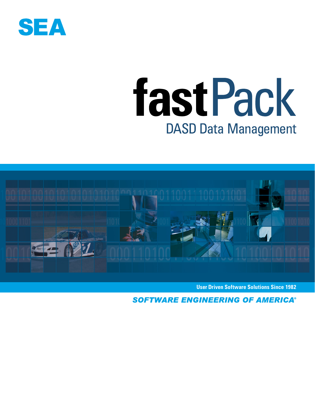

# fastPack **DASD Data Management**



**User Driven Software Solutions Since 1982**

**SOFTWARE ENGINEERING OF AMERICA®**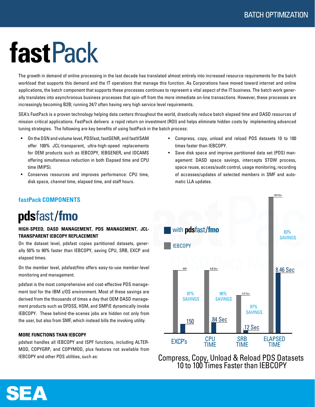## **fastPack**

The growth in demand of online processing in the last decade has translated almost entirely into increased resource requirements for the batch workload that supports this demand and the IT operations that manage this function. As Corporations have moved toward internet and online applications, the batch component that supports these processes continues to represent a vital aspect of the IT business. The batch work generally translates into asynchronous business processes that spin-off from the more immediate on-line transactions. However, these processes are increasingly becoming B2B; running 24/7 often having very high service level requirements.

SEA's FastPack is a proven technology helping data centers throughout the world, drastically reduce batch elapsed time and DASD resources of mission critical applications. FastPack delivers a rapid return on investment (ROI) and helps eliminate hidden costs by implementing advanced tuning strategies. The following are key benefits of using fastPack in the batch process:

- On the DSN and volume level, PDSfast, fastGENR, and fastVSAM offer 100% JCL-transparent, ultra-high-speed replacements for OEM products such as IEBCOPY, IEBGENER, and IDCAMS offering simultaneous reduction in both Elapsed time and CPU time (MIPS).
- Conserves resources and improves performance: CPU time, disk space, channel time, elapsed time, and staff hours.
- Compress, copy, unload and reload PDS datasets 10 to 100 times faster than IEBCOPY.
- Save disk space and improve partitioned data set (PDS) management: DASD space savings, intercepts STOW process, space reuse, access/audit control, usage monitoring, recording of accesses/updates of selected members in SMF and automatic LLA updates.



Compress, Copy, Unload & Reload PDS Datasets 10 to 100 Times Faster than IEBCOPY

#### **fastPack COMPONENTS**

## pdsfast/fmo

#### **HIGH-SPEED, DASD MANAGEMENT, PDS MANAGEMENT, JCL-TRANSPARENT IEBCOPY REPLACEMENT**

On the dataset level, pdsfast copies partitioned datasets, generally 50% to 90% faster than IEBCOPY, saving CPU, SRB, EXCP and elapsed times.

On the member level, pdsfast/fmo offers easy-to-use member-level monitoring and management.

pdsfast is the most comprehensive and cost-effective PDS management tool for the IBM z/OS environment. Most of these savings are derived from the thousands of times a day that OEM DASD management products such as DFDSS, HSM, and SMP/E dynamically invoke IEBCOPY. These behind-the-scenes jobs are hidden not only from the user, but also from SMF, which instead bills the invoking utility.

#### **MORE FUNCTIONS THAN IEBCOPY**

pdsfast handles all IEBCOPY and ISPF functions, including ALTER-MOD, COPYGRP, and COPYMOD, plus features not available from IEBCOPY and other PDS utilities, such as:

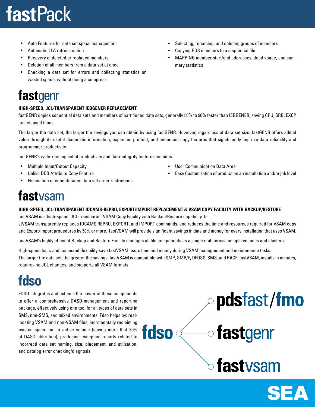## **fastPack**

- Auto Features for data set space management
- Automatic LLA refresh option
- Recovery of deleted or replaced members
- Deletion of all members from a data set at once
- Checking a data set for errors and collecting statistics on wasted space, without doing a compress

## fastgenr

#### **HIGH-SPEED, JCL-TRANSPARENT IEBGENER REPLACEMENT**

fastGENR copies sequential data sets and members of partitioned data sets, generally 50% to 90% faster than IEBGENER, saving CPU, SRB, EXCP and elapsed times.

The larger the data set, the larger the savings you can obtain by using fastGENR. However, regardless of data set size, fastGENR offers added value through its useful diagnostic information, expanded printout, and enhanced copy features that significantly improve data reliability and programmer productivity.

fastGENR's wide-ranging set of productivity and data-integrity features includes:

- Multiple Input/Output Capacity
- Unlike DCB Attribute Copy Feature
- Elimination of concatenated data set order restrictions

### fastysam

#### **HIGH-SPEED, JCL-TRANSPARENT IDCAMS-REPRO, EXPORT/IMPORT REPLACEMENT & VSAM COPY FACILITY WITH BACKUP/RESTORE**

fastVSAM is a high-speed, JCL-transparent VSAM Copy Facility with Backup/Restore capability. fa stVSAM transparently replaces IDCAMS REPRO, EXPORT, and IMPORT commands, and reduces the time and resources required for VSAM copy and Export/Import procedures by 50% or more. fastVSAM will provide significant savings in time and money for every installation that uses VSAM.

fastVSAM's highly efficient Backup and Restore Facility manages all file components as a single unit across multiple volumes and clusters.

High-speed logic and command flexibility save fastVSAM users time and money during VSAM management and maintenance tasks. The larger the data set, the greater the savings. fastVSAM is compatible with SMP, SMP/E, DFDSS, SMS, and RACF. fastVSAM, installs in minutes, requires no JCL changes, and supports all VSAM formats.

fdso

## fdso

FDSO integrates and extends the power of these components to offer a comprehensive DASD-management and reporting package, effectively using one tool for all types of data sets in SMS, non-SMS, and mixed environments. Fdso helps by: reallocating VSAM and non-VSAM files, incrementally reclaiming wasted space on an active volume (saving more that 30% of DASD utilization), producing exception reports related to incorrecti data set naming, size, placement, and utilization, and catalog error checking/diagnosis.

- Selecting, renaming, and deleting groups of members
- Copying PDS members to a sequential file
- MAPPING member start/end addresses, dead space, and summary statistics



• Easy Customization of product on an installation and/or job level



pdsfast/fmo